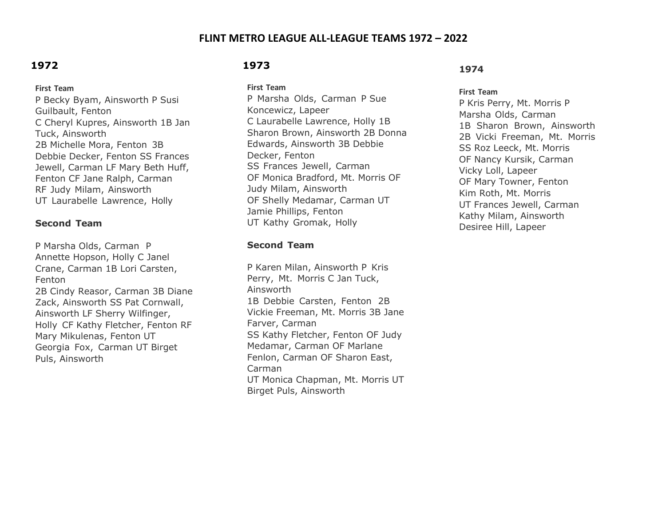### **FLINT METRO LEAGUE ALL-LEAGUE TEAMS 1972 – 2022**

# **1972**

#### **First Team**

P Becky Byam, Ainsworth P Susi Guilbault, Fenton C Cheryl Kupres, Ainsworth 1B Jan Tuck, Ainsworth 2B Michelle Mora, Fenton 3B Debbie Decker, Fenton SS Frances Jewell, Carman LF Mary Beth Huff, Fenton CF Jane Ralph, Carman RF Judy Milam, Ainsworth UT Laurabelle Lawrence, Holly

#### **Second Team**

P Marsha Olds, Carman P Annette Hopson, Holly C Janel Crane, Carman 1B Lori Carsten, Fenton 2B Cindy Reasor, Carman 3B Diane Zack, Ainsworth SS Pat Cornwall, Ainsworth LF Sherry Wilfinger, Holly CF Kathy Fletcher, Fenton RF Mary Mikulenas, Fenton UT Georgia Fox, Carman UT Birget Puls, Ainsworth

# **1973**

**First Team**

P Marsha Olds, Carman P Sue Koncewicz, Lapeer C Laurabelle Lawrence, Holly 1B Sharon Brown, Ainsworth 2B Donna Edwards, Ainsworth 3B Debbie Decker, Fenton SS Frances Jewell, Carman OF Monica Bradford, Mt. Morris OF Judy Milam, Ainsworth OF Shelly Medamar, Carman UT Jamie Phillips, Fenton UT Kathy Gromak, Holly

#### **Second Team**

P Karen Milan, Ainsworth P Kris Perry, Mt. Morris C Jan Tuck, Ainsworth 1B Debbie Carsten, Fenton 2B Vickie Freeman, Mt. Morris 3B Jane Farver, Carman SS Kathy Fletcher, Fenton OF Judy Medamar, Carman OF Marlane Fenlon, Carman OF Sharon East, Carman UT Monica Chapman, Mt. Morris UT Birget Puls, Ainsworth

#### **1974**

#### **First Team**

P Kris Perry, Mt. Morris P Marsha Olds, Carman 1B Sharon Brown, Ainsworth 2B Vicki Freeman, Mt. Morris SS Roz Leeck, Mt. Morris OF Nancy Kursik, Carman Vicky Loll, Lapeer OF Mary Towner, Fenton Kim Roth, Mt. Morris UT Frances Jewell, Carman Kathy Milam, Ainsworth Desiree Hill, Lapeer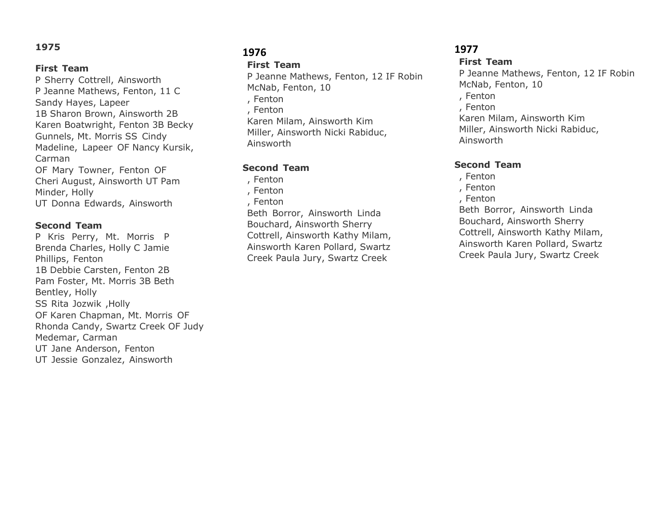#### **First Team**

P Sherry Cottrell, Ainsworth P Jeanne Mathews, Fenton, 11 C Sandy Hayes, Lapeer 1B Sharon Brown, Ainsworth 2B Karen Boatwright, Fenton 3B Becky Gunnels, Mt. Morris SS Cindy Madeline, Lapeer OF Nancy Kursik, Carman OF Mary Towner, Fenton OF Cheri August, Ainsworth UT Pam Minder, Holly UT Donna Edwards, Ainsworth

#### **Second Team**

P Kris Perry, Mt. Morris P Brenda Charles, Holly C Jamie Phillips, Fenton 1B Debbie Carsten, Fenton 2B Pam Foster, Mt. Morris 3B Beth Bentley, Holly SS Rita Jozwik ,Holly OF Karen Chapman, Mt. Morris OF Rhonda Candy, Swartz Creek OF Judy Medemar, Carman UT Jane Anderson, Fenton UT Jessie Gonzalez, Ainsworth

## **1976**

#### **First Team**

P Jeanne Mathews, Fenton, 12 IF Robin McNab, Fenton, 10 , Fenton , Fenton Karen Milam, Ainsworth Kim Miller, Ainsworth Nicki Rabiduc, Ainsworth

### **Second Team**

, Fenton , Fenton , Fenton Beth Borror, Ainsworth Linda Bouchard, Ainsworth Sherry Cottrell, Ainsworth Kathy Milam, Ainsworth Karen Pollard, Swartz Creek Paula Jury, Swartz Creek

### **1977**

#### **First Team**

P Jeanne Mathews, Fenton, 12 IF Robin McNab, Fenton, 10 , Fenton , Fenton Karen Milam, Ainsworth Kim Miller, Ainsworth Nicki Rabiduc, Ainsworth

#### **Second Team**

, Fenton , Fenton , Fenton Beth Borror, Ainsworth Linda Bouchard, Ainsworth Sherry Cottrell, Ainsworth Kathy Milam, Ainsworth Karen Pollard, Swartz Creek Paula Jury, Swartz Creek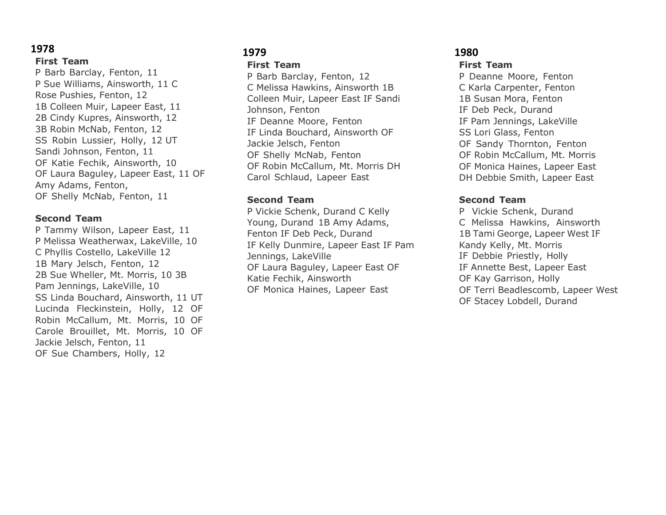**First Team** P Barb Barclay, Fenton, 11 P Sue Williams, Ainsworth, 11 C Rose Pushies, Fenton, 12 1B Colleen Muir, Lapeer East, 11 2B Cindy Kupres, Ainsworth, 12 3B Robin McNab, Fenton, 12 SS Robin Lussier, Holly, 12 UT Sandi Johnson, Fenton, 11 OF Katie Fechik, Ainsworth, 10 OF Laura Baguley, Lapeer East, 11 OF Amy Adams, Fenton, OF Shelly McNab, Fenton, 11

#### **Second Team**

P Tammy Wilson, Lapeer East, 11 P Melissa Weatherwax, LakeVille, 10 C Phyllis Costello, LakeVille 12 1B Mary Jelsch, Fenton, 12 2B Sue Wheller, Mt. Morris, 10 3B Pam Jennings, LakeVille, 10 SS Linda Bouchard, Ainsworth, 11 UT Lucinda Fleckinstein, Holly, 12 OF Robin McCallum, Mt. Morris, 10 OF Carole Brouillet, Mt. Morris, 10 OF Jackie Jelsch, Fenton, 11 OF Sue Chambers, Holly, 12

# **1979**

**First Team**

P Barb Barclay, Fenton, 12 C Melissa Hawkins, Ainsworth 1B Colleen Muir, Lapeer East IF Sandi Johnson, Fenton IF Deanne Moore, Fenton IF Linda Bouchard, Ainsworth OF Jackie Jelsch, Fenton OF Shelly McNab, Fenton OF Robin McCallum, Mt. Morris DH Carol Schlaud, Lapeer East

#### **Second Team**

P Vickie Schenk, Durand C Kelly Young, Durand 1B Amy Adams, Fenton IF Deb Peck, Durand IF Kelly Dunmire, Lapeer East IF Pam Jennings, LakeVille OF Laura Baguley, Lapeer East OF Katie Fechik, Ainsworth OF Monica Haines, Lapeer East

# **1980**

**First Team**

P Deanne Moore, Fenton C Karla Carpenter, Fenton 1B Susan Mora, Fenton IF Deb Peck, Durand IF Pam Jennings, LakeVille SS Lori Glass, Fenton OF Sandy Thornton, Fenton OF Robin McCallum, Mt. Morris OF Monica Haines, Lapeer East DH Debbie Smith, Lapeer East

#### **Second Team**

P Vickie Schenk, Durand C Melissa Hawkins, Ainsworth 1B Tami George, Lapeer West IF Kandy Kelly, Mt. Morris IF Debbie Priestly, Holly IF Annette Best, Lapeer East OF Kay Garrison, Holly OF Terri Beadlescomb, Lapeer West OF Stacey Lobdell, Durand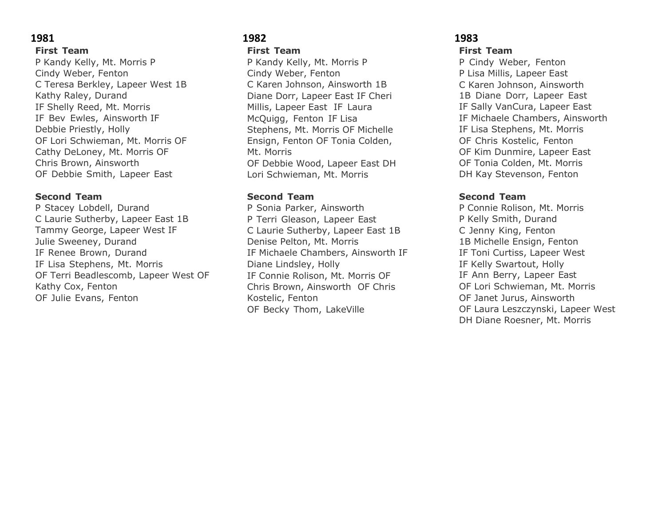#### **First Team**

P Kandy Kelly, Mt. Morris P Cindy Weber, Fenton C Teresa Berkley, Lapeer West 1B Kathy Raley, Durand IF Shelly Reed, Mt. Morris IF Bev Ewles, Ainsworth IF Debbie Priestly, Holly OF Lori Schwieman, Mt. Morris OF Cathy DeLoney, Mt. Morris OF Chris Brown, Ainsworth OF Debbie Smith, Lapeer East

#### **Second Team**

P Stacey Lobdell, Durand C Laurie Sutherby, Lapeer East 1B Tammy George, Lapeer West IF Julie Sweeney, Durand IF Renee Brown, Durand IF Lisa Stephens, Mt. Morris OF Terri Beadlescomb, Lapeer West OF Kathy Cox, Fenton OF Julie Evans, Fenton

#### **1982 First Team**

P Kandy Kelly, Mt. Morris P Cindy Weber, Fenton C Karen Johnson, Ainsworth 1B Diane Dorr, Lapeer East IF Cheri Millis, Lapeer East IF Laura McQuigg, Fenton IF Lisa Stephens, Mt. Morris OF Michelle Ensign, Fenton OF Tonia Colden, Mt. Morris OF Debbie Wood, Lapeer East DH Lori Schwieman, Mt. Morris

#### **Second Team**

P Sonia Parker, Ainsworth P Terri Gleason, Lapeer East C Laurie Sutherby, Lapeer East 1B Denise Pelton, Mt. Morris IF Michaele Chambers, Ainsworth IF Diane Lindsley, Holly IF Connie Rolison, Mt. Morris OF Chris Brown, Ainsworth OF Chris Kostelic, Fenton OF Becky Thom, LakeVille

# **1983 First Team**

P Cindy Weber, Fenton P Lisa Millis, Lapeer East C Karen Johnson, Ainsworth 1B Diane Dorr, Lapeer East IF Sally VanCura, Lapeer East IF Michaele Chambers, Ainsworth IF Lisa Stephens, Mt. Morris OF Chris Kostelic, Fenton OF Kim Dunmire, Lapeer East OF Tonia Colden, Mt. Morris DH Kay Stevenson, Fenton

### **Second Team**

P Connie Rolison, Mt. Morris P Kelly Smith, Durand C Jenny King, Fenton 1B Michelle Ensign, Fenton IF Toni Curtiss, Lapeer West IF Kelly Swartout, Holly IF Ann Berry, Lapeer East OF Lori Schwieman, Mt. Morris OF Janet Jurus, Ainsworth OF Laura Leszczynski, Lapeer West DH Diane Roesner, Mt. Morris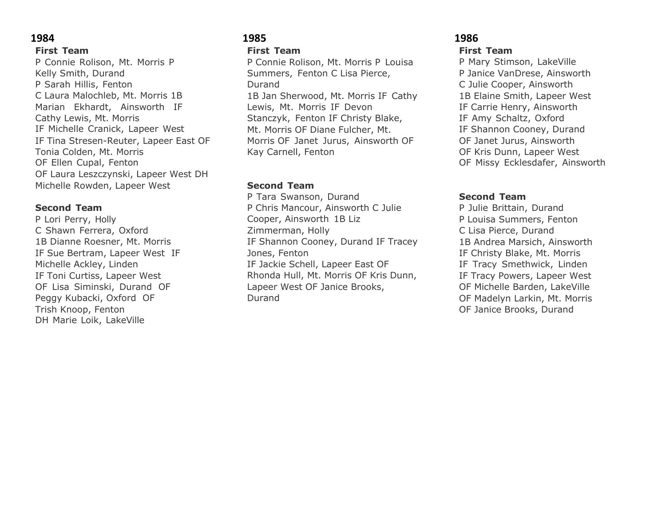### **First Team**

P Connie Rolison, Mt. Morris P Kelly Smith, Durand P Sarah Hillis, Fenton C Laura Malochleb, Mt. Morris 1B Marian Ekhardt, Ainsworth IF Cathy Lewis, Mt. Morris IF Michelle Cranick, Lapeer West IF Tina Stresen-Reuter, Lapeer East OF Tonia Colden, Mt. Morris OF Ellen Cupal, Fenton OF Laura Leszczynski, Lapeer West DH Michelle Rowden, Lapeer West

#### **Second Team**

P Lori Perry, Holly C Shawn Ferrera, Oxford 1B Dianne Roesner, Mt. Morris IF Sue Bertram, Lapeer West IF Michelle Ackley, Linden IF Toni Curtiss, Lapeer West OF Lisa Siminski, Durand OF Peggy Kubacki, Oxford OF Trish Knoop, Fenton DH Marie Loik, LakeVille

#### **1985 First Team**

P Connie Rolison, Mt. Morris P Louisa Summers, Fenton C Lisa Pierce, Durand 1B Jan Sherwood, Mt. Morris IF Cathy Lewis, Mt. Morris IF Devon Stanczyk, Fenton IF Christy Blake, Mt. Morris OF Diane Fulcher, Mt. Morris OF Janet Jurus, Ainsworth OF Kay Carnell, Fenton

### **Second Team**

P Tara Swanson, Durand P Chris Mancour, Ainsworth C Julie Cooper, Ainsworth 1B Liz Zimmerman, Holly IF Shannon Cooney, Durand IF Tracey Jones, Fenton IF Jackie Schell, Lapeer East OF Rhonda Hull, Mt. Morris OF Kris Dunn, Lapeer West OF Janice Brooks, Durand

# **1986 First Team**

P Mary Stimson, LakeVille P Janice VanDrese, Ainsworth C Julie Cooper, Ainsworth 1B Elaine Smith, Lapeer West IF Carrie Henry, Ainsworth IF Amy Schaltz, Oxford IF Shannon Cooney, Durand OF Janet Jurus, Ainsworth OF Kris Dunn, Lapeer West OF Missy Ecklesdafer, Ainsworth

# **Second Team**

P Julie Brittain, Durand P Louisa Summers, Fenton C Lisa Pierce, Durand 1B Andrea Marsich, Ainsworth IF Christy Blake, Mt. Morris IF Tracy Smethwick, Linden IF Tracy Powers, Lapeer West OF Michelle Barden, LakeVille OF Madelyn Larkin, Mt. Morris OF Janice Brooks, Durand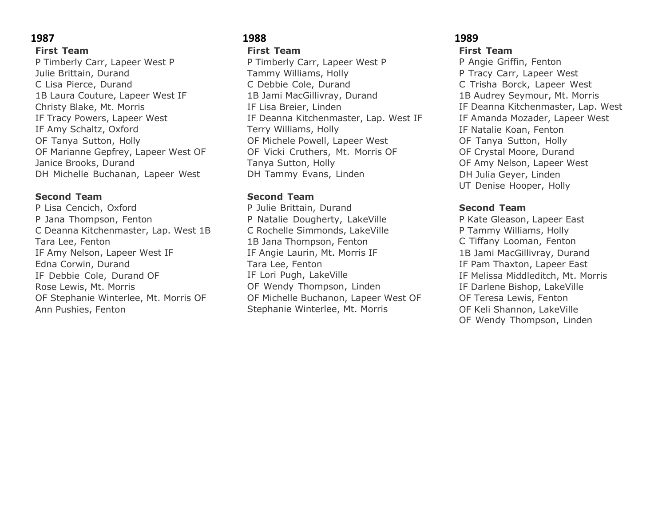### **First Team**

P Timberly Carr, Lapeer West P Julie Brittain, Durand C Lisa Pierce, Durand 1B Laura Couture, Lapeer West IF Christy Blake, Mt. Morris IF Tracy Powers, Lapeer West IF Amy Schaltz, Oxford OF Tanya Sutton, Holly OF Marianne Gepfrey, Lapeer West OF Janice Brooks, Durand DH Michelle Buchanan, Lapeer West

#### **Second Team**

P Lisa Cencich, Oxford P Jana Thompson, Fenton C Deanna Kitchenmaster, Lap. West 1B Tara Lee, Fenton IF Amy Nelson, Lapeer West IF Edna Corwin, Durand IF Debbie Cole, Durand OF Rose Lewis, Mt. Morris OF Stephanie Winterlee, Mt. Morris OF Ann Pushies, Fenton

#### **1988 First Team**

P Timberly Carr, Lapeer West P Tammy Williams, Holly C Debbie Cole, Durand 1B Jami MacGillivray, Durand IF Lisa Breier, Linden IF Deanna Kitchenmaster, Lap. West IF Terry Williams, Holly OF Michele Powell, Lapeer West OF Vicki Cruthers, Mt. Morris OF Tanya Sutton, Holly DH Tammy Evans, Linden

### **Second Team**

P Julie Brittain, Durand P Natalie Dougherty, LakeVille C Rochelle Simmonds, LakeVille 1B Jana Thompson, Fenton IF Angie Laurin, Mt. Morris IF Tara Lee, Fenton IF Lori Pugh, LakeVille OF Wendy Thompson, Linden OF Michelle Buchanon, Lapeer West OF Stephanie Winterlee, Mt. Morris

### **1989 First Team**

P Angie Griffin, Fenton P Tracy Carr, Lapeer West C Trisha Borck, Lapeer West 1B Audrey Seymour, Mt. Morris IF Deanna Kitchenmaster, Lap. West IF Amanda Mozader, Lapeer West IF Natalie Koan, Fenton OF Tanya Sutton, Holly OF Crystal Moore, Durand OF Amy Nelson, Lapeer West DH Julia Geyer, Linden UT Denise Hooper, Holly

# **Second Team**

P Kate Gleason, Lapeer East P Tammy Williams, Holly C Tiffany Looman, Fenton 1B Jami MacGillivray, Durand IF Pam Thaxton, Lapeer East IF Melissa Middleditch, Mt. Morris IF Darlene Bishop, LakeVille OF Teresa Lewis, Fenton OF Keli Shannon, LakeVille OF Wendy Thompson, Linden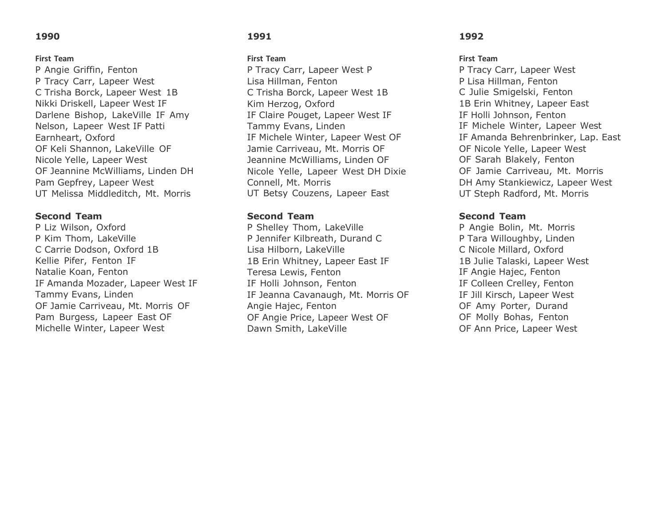#### **First Team**

P Angie Griffin, Fenton P Tracy Carr, Lapeer West C Trisha Borck, Lapeer West 1B Nikki Driskell, Lapeer West IF Darlene Bishop, LakeVille IF Amy Nelson, Lapeer West IF Patti Earnheart, Oxford OF Keli Shannon, LakeVille OF Nicole Yelle, Lapeer West OF Jeannine McWilliams, Linden DH Pam Gepfrey, Lapeer West UT Melissa Middleditch, Mt. Morris

#### **Second Team**

P Liz Wilson, Oxford P Kim Thom, LakeVille C Carrie Dodson, Oxford 1B Kellie Pifer, Fenton IF Natalie Koan, Fenton IF Amanda Mozader, Lapeer West IF Tammy Evans, Linden OF Jamie Carriveau, Mt. Morris OF Pam Burgess, Lapeer East OF Michelle Winter, Lapeer West

#### **1991**

#### **First Team**

P Tracy Carr, Lapeer West P Lisa Hillman, Fenton C Trisha Borck, Lapeer West 1B Kim Herzog, Oxford IF Claire Pouget, Lapeer West IF Tammy Evans, Linden IF Michele Winter, Lapeer West OF Jamie Carriveau, Mt. Morris OF Jeannine McWilliams, Linden OF Nicole Yelle, Lapeer West DH Dixie Connell, Mt. Morris UT Betsy Couzens, Lapeer East

#### **Second Team**

P Shelley Thom, LakeVille P Jennifer Kilbreath, Durand C Lisa Hilborn, LakeVille 1B Erin Whitney, Lapeer East IF Teresa Lewis, Fenton IF Holli Johnson, Fenton IF Jeanna Cavanaugh, Mt. Morris OF Angie Hajec, Fenton OF Angie Price, Lapeer West OF Dawn Smith, LakeVille

#### **1992**

#### **First Team**

P Tracy Carr, Lapeer West P Lisa Hillman, Fenton C Julie Smigelski, Fenton 1B Erin Whitney, Lapeer East IF Holli Johnson, Fenton IF Michele Winter, Lapeer West IF Amanda Behrenbrinker, Lap. East OF Nicole Yelle, Lapeer West OF Sarah Blakely, Fenton OF Jamie Carriveau, Mt. Morris DH Amy Stankiewicz, Lapeer West UT Steph Radford, Mt. Morris

#### **Second Team**

P Angie Bolin, Mt. Morris P Tara Willoughby, Linden C Nicole Millard, Oxford 1B Julie Talaski, Lapeer West IF Angie Hajec, Fenton IF Colleen Crelley, Fenton IF Jill Kirsch, Lapeer West OF Amy Porter, Durand OF Molly Bohas, Fenton OF Ann Price, Lapeer West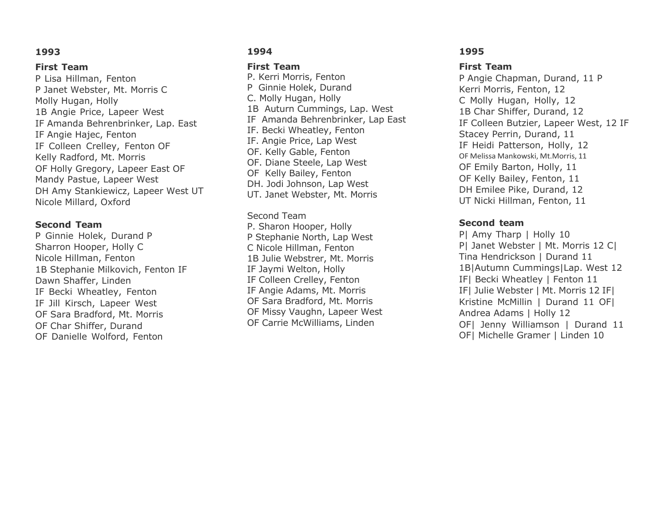#### **First Team**

P Lisa Hillman, Fenton P Janet Webster, Mt. Morris C Molly Hugan, Holly 1B Angie Price, Lapeer West IF Amanda Behrenbrinker, Lap. East IF Angie Hajec, Fenton IF Colleen Crelley, Fenton OF Kelly Radford, Mt. Morris OF Holly Gregory, Lapeer East OF Mandy Pastue, Lapeer West DH Amy Stankiewicz, Lapeer West UT Nicole Millard, Oxford

#### **Second Team**

P Ginnie Holek, Durand P Sharron Hooper, Holly C Nicole Hillman, Fenton 1B Stephanie Milkovich, Fenton IF Dawn Shaffer, Linden IF Becki Wheatley, Fenton IF Jill Kirsch, Lapeer West OF Sara Bradford, Mt. Morris OF Char Shiffer, Durand OF Danielle Wolford, Fenton

### **1994**

#### **First Team**

P. Kerri Morris, Fenton P Ginnie Holek, Durand C. Molly Hugan, Holly 1B Auturn Cummings, Lap. West IF Amanda Behrenbrinker, Lap East IF. Becki Wheatley, Fenton IF. Angie Price, Lap West OF. Kelly Gable, Fenton OF. Diane Steele, Lap West OF Kelly Bailey, Fenton DH. Jodi Johnson, Lap West UT. Janet Webster, Mt. Morris

#### Second Team

P. Sharon Hooper, Holly P Stephanie North, Lap West C Nicole Hillman, Fenton 1B Julie Webstrer, Mt. Morris IF Jaymi Welton, Holly IF Colleen Crelley, Fenton IF Angie Adams, Mt. Morris OF Sara Bradford, Mt. Morris OF Missy Vaughn, Lapeer West OF Carrie McWilliams, Linden

#### **1995**

#### **First Team**

P Angie Chapman, Durand, 11 P Kerri Morris, Fenton, 12 C Molly Hugan, Holly, 12 1B Char Shiffer, Durand, 12 IF Colleen Butzier, Lapeer West, 12 IF Stacey Perrin, Durand, 11 IF Heidi Patterson, Holly, 12 OF Melissa Mankowski, Mt.Morris, 11 OF Emily Barton, Holly, 11 OF Kelly Bailey, Fenton, 11 DH Emilee Pike, Durand, 12 UT Nicki Hillman, Fenton, 11

### **Second team**

P| Amy Tharp | Holly 10 P| Janet Webster | Mt. Morris 12 C| Tina Hendrickson | Durand 11 1B|Autumn Cummings|Lap. West 12 IF| Becki Wheatley | Fenton 11 IF| Julie Webster | Mt. Morris 12 IF| Kristine McMillin | Durand 11 OF| Andrea Adams | Holly 12 OF| Jenny Williamson | Durand 11 OF| Michelle Gramer | Linden 10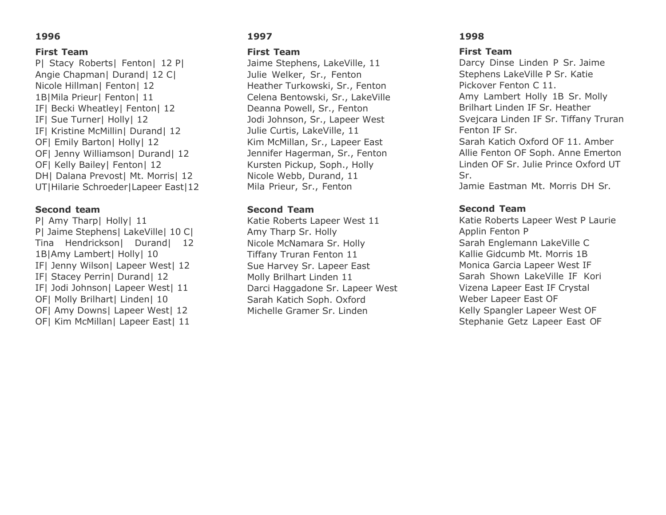#### **First Team**

P| Stacy Roberts| Fenton| 12 P| Angie Chapman| Durand| 12 C| Nicole Hillman| Fenton| 12 1B|Mila Prieur| Fenton| 11 IF| Becki Wheatley| Fenton| 12 IF| Sue Turner| Holly| 12 IF| Kristine McMillin| Durand| 12 OF| Emily Barton| Holly| 12 OF| Jenny Williamson| Durand| 12 OF| Kelly Bailey| Fenton| 12 DHI Dalana Prevostl Mt. Morrisl 12 UT|Hilarie Schroeder|Lapeer East|12

#### **Second team**

P| Amy Tharp| Holly| 11 PI Jaime Stephens| LakeVille| 10 Cl Tina Hendrickson| Durand| 12 1B|Amy Lambert| Holly| 10 IF| Jenny Wilson| Lapeer West| 12 IF| Stacey Perrin| Durand| 12 IF| Jodi Johnson| Lapeer West| 11 OFI Molly Brilhart| Linden| 10 OF| Amy Downs| Lapeer West| 12 OF| Kim McMillan| Lapeer East| 11

### **1997**

#### **First Team**

Jaime Stephens, LakeVille, 11 Julie Welker, Sr., Fenton Heather Turkowski, Sr., Fenton Celena Bentowski, Sr., LakeVille Deanna Powell, Sr., Fenton Jodi Johnson, Sr., Lapeer West Julie Curtis, LakeVille, 11 Kim McMillan, Sr., Lapeer East Jennifer Hagerman, Sr., Fenton Kursten Pickup, Soph., Holly Nicole Webb, Durand, 11 Mila Prieur, Sr., Fenton

#### **Second Team**

Katie Roberts Lapeer West 11 Amy Tharp Sr. Holly Nicole McNamara Sr. Holly Tiffany Truran Fenton 11 Sue Harvey Sr. Lapeer East Molly Brilhart Linden 11 Darci Haggadone Sr. Lapeer West Sarah Katich Soph. Oxford Michelle Gramer Sr. Linden

### **1998**

### **First Team**

Darcy Dinse Linden P Sr. Jaime Stephens LakeVille P Sr. Katie Pickover Fenton C 11. Amy Lambert Holly 1B Sr. Molly Brilhart Linden IF Sr. Heather Svejcara Linden IF Sr. Tiffany Truran Fenton IF Sr. Sarah Katich Oxford OF 11. Amber Allie Fenton OF Soph. Anne Emerton Linden OF Sr. Julie Prince Oxford UT Sr.

Jamie Eastman Mt. Morris DH Sr.

# **Second Team**

Katie Roberts Lapeer West P Laurie Applin Fenton P Sarah Englemann LakeVille C Kallie Gidcumb Mt. Morris 1B Monica Garcia Lapeer West IF Sarah Shown LakeVille IF Kori Vizena Lapeer East IF Crystal Weber Lapeer East OF Kelly Spangler Lapeer West OF Stephanie Getz Lapeer East OF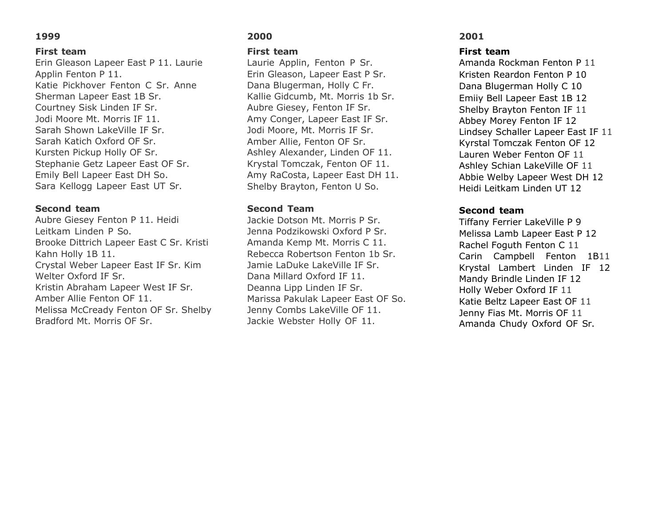#### **First team**

Erin Gleason Lapeer East P 11. Laurie Applin Fenton P 11. Katie Pickhover Fenton C Sr. Anne Sherman Lapeer East 1B Sr. Courtney Sisk Linden IF Sr. Jodi Moore Mt. Morris IF 11. Sarah Shown LakeVille IF Sr. Sarah Katich Oxford OF Sr. Kursten Pickup Holly OF Sr. Stephanie Getz Lapeer East OF Sr. Emily Bell Lapeer East DH So. Sara Kellogg Lapeer East UT Sr.

#### **Second team**

Aubre Giesey Fenton P 11. Heidi Leitkam Linden P So. Brooke Dittrich Lapeer East C Sr. Kristi Kahn Holly 1B 11. Crystal Weber Lapeer East IF Sr. Kim Welter Oxford IF Sr. Kristin Abraham Lapeer West IF Sr. Amber Allie Fenton OF 11. Melissa McCready Fenton OF Sr. Shelby Bradford Mt. Morris OF Sr.

# **2000**

#### **First team**

Laurie Applin, Fenton P Sr. Erin Gleason, Lapeer East P Sr. Dana Blugerman, Holly C Fr. Kallie Gidcumb, Mt. Morris 1b Sr. Aubre Giesey, Fenton IF Sr. Amy Conger, Lapeer East IF Sr. Jodi Moore, Mt. Morris IF Sr. Amber Allie, Fenton OF Sr. Ashley Alexander, Linden OF 11. Krystal Tomczak, Fenton OF 11. Amy RaCosta, Lapeer East DH 11. Shelby Brayton, Fenton U So.

#### **Second Team**

Jackie Dotson Mt. Morris P Sr. Jenna Podzikowski Oxford P Sr. Amanda Kemp Mt. Morris C 11. Rebecca Robertson Fenton 1b Sr. Jamie LaDuke LakeVille IF Sr. Dana Millard Oxford IF 11. Deanna Lipp Linden IF Sr. Marissa Pakulak Lapeer East OF So. Jenny Combs LakeVille OF 11. Jackie Webster Holly OF 11.

#### **2001**

#### **First team**

Amanda Rockman Fenton P 11 Kristen Reardon Fenton P 10 Dana Blugerman Holly C 10 Emiiy Bell Lapeer East 1B 12 Shelby Brayton Fenton IF 11 Abbey Morey Fenton IF 12 Lindsey Schaller Lapeer East IF 11 Kyrstal Tomczak Fenton OF 12 Lauren Weber Fenton OF 11 Ashley Schian LakeVille OF 11 Abbie Welby Lapeer West DH 12 Heidi Leitkam Linden UT 12

#### **Second team**

Tiffany Ferrier LakeVille P 9 Melissa Lamb Lapeer East P 12 Rachel Foguth Fenton C 11 Carin Campbell Fenton 1B11 Krystal Lambert Linden IF 12 Mandy Brindle Linden IF 12 Holly Weber Oxford IF 11 Katie Beltz Lapeer East OF 11 Jenny Fias Mt. Morris OF 11 Amanda Chudy Oxford OF Sr.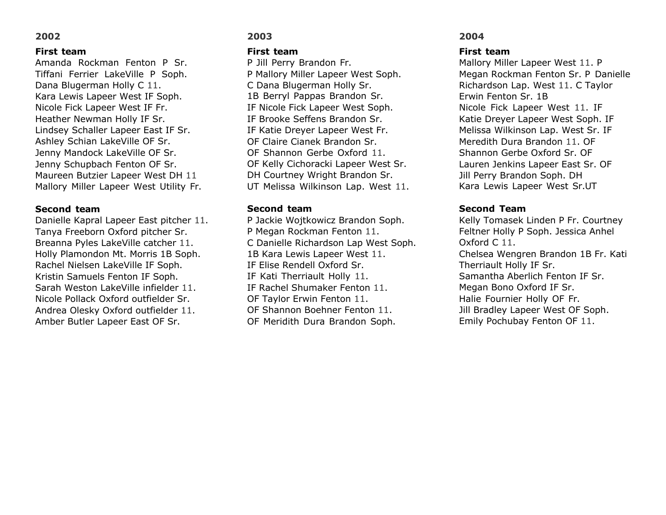#### **First team**

Amanda Rockman Fenton P Sr. Tiffani Ferrier LakeVille P Soph. Dana Blugerman Holly C 11. Kara Lewis Lapeer West IF Soph. Nicole Fick Lapeer West IF Fr. Heather Newman Holly IF Sr. Lindsey Schaller Lapeer East IF Sr. Ashley Schian LakeVille OF Sr. Jenny Mandock LakeVille OF Sr. Jenny Schupbach Fenton OF Sr. Maureen Butzier Lapeer West DH 11 Mallory Miller Lapeer West Utility Fr.

#### **Second team**

Danielle Kapral Lapeer East pitcher 11. Tanya Freeborn Oxford pitcher Sr. Breanna Pyles LakeVille catcher 11. Holly Plamondon Mt. Morris 1B Soph. Rachel Nielsen LakeVille IF Soph. Kristin Samuels Fenton IF Soph. Sarah Weston LakeVille infielder 11. Nicole Pollack Oxford outfielder Sr. Andrea Olesky Oxford outfielder 11. Amber Butler Lapeer East OF Sr.

### **2003**

#### **First team**

P Jill Perry Brandon Fr. P Mallory Miller Lapeer West Soph. C Dana Blugerman Holly Sr. 1B Berryl Pappas Brandon Sr. IF Nicole Fick Lapeer West Soph. IF Brooke Seffens Brandon Sr. IF Katie Dreyer Lapeer West Fr. OF Claire Cianek Brandon Sr. OF Shannon Gerbe Oxford 11. OF Kelly Cichoracki Lapeer West Sr. DH Courtney Wright Brandon Sr. UT Melissa Wilkinson Lap. West 11.

#### **Second team**

P Jackie Wojtkowicz Brandon Soph. P Megan Rockman Fenton 11. C Danielle Richardson Lap West Soph. 1B Kara Lewis Lapeer West 11. IF Elise Rendell Oxford Sr. IF Kati Therriault Holly 11. IF Rachel Shumaker Fenton 11. OF Taylor Erwin Fenton 11. OF Shannon Boehner Fenton 11. OF Meridith Dura Brandon Soph.

#### **2004**

#### **First team**

Mallory Miller Lapeer West 11. P Megan Rockman Fenton Sr. P Danielle Richardson Lap. West 11. C Taylor Erwin Fenton Sr. 1B Nicole Fick Lapeer West 11. IF Katie Dreyer Lapeer West Soph. IF Melissa Wilkinson Lap. West Sr. IF Meredith Dura Brandon 11. OF Shannon Gerbe Oxford Sr. OF Lauren Jenkins Lapeer East Sr. OF Jill Perry Brandon Soph. DH Kara Lewis Lapeer West Sr.UT

#### **Second Team**

Kelly Tomasek Linden P Fr. Courtney Feltner Holly P Soph. Jessica Anhel Oxford C 11. Chelsea Wengren Brandon 1B Fr. Kati Therriault Holly IF Sr. Samantha Aberlich Fenton IF Sr. Megan Bono Oxford IF Sr. Halie Fournier Holly OF Fr. Jill Bradley Lapeer West OF Soph. Emily Pochubay Fenton OF 11.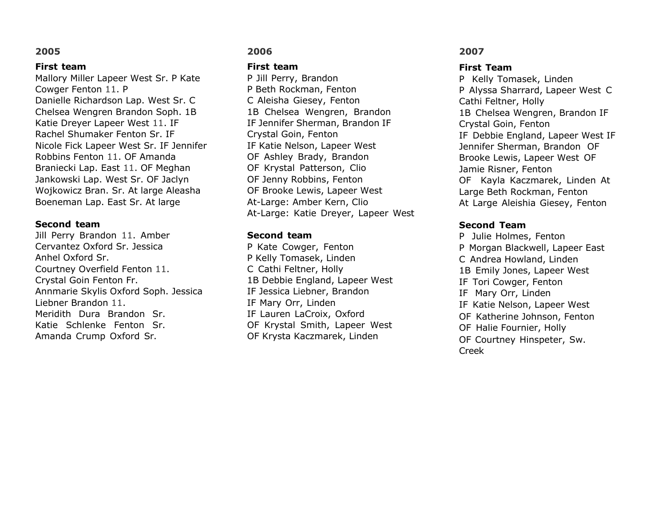#### **First team**

Mallory Miller Lapeer West Sr. P Kate Cowger Fenton 11. P Danielle Richardson Lap. West Sr. C Chelsea Wengren Brandon Soph. 1B Katie Dreyer Lapeer West 11. IF Rachel Shumaker Fenton Sr. IF Nicole Fick Lapeer West Sr. IF Jennifer Robbins Fenton 11. OF Amanda Braniecki Lap. East 11. OF Meghan Jankowski Lap. West Sr. OF Jaclyn Wojkowicz Bran. Sr. At large Aleasha Boeneman Lap. East Sr. At large

#### **Second team**

Jill Perry Brandon 11. Amber Cervantez Oxford Sr. Jessica Anhel Oxford Sr. Courtney Overfield Fenton 11. Crystal Goin Fenton Fr. Annmarie Skylis Oxford Soph. Jessica Liebner Brandon 11. Meridith Dura Brandon Sr. Katie Schlenke Fenton Sr. Amanda Crump Oxford Sr.

# **2006**

#### **First team**

P Jill Perry, Brandon P Beth Rockman, Fenton C Aleisha Giesey, Fenton 1B Chelsea Wengren, Brandon IF Jennifer Sherman, Brandon IF Crystal Goin, Fenton IF Katie Nelson, Lapeer West OF Ashley Brady, Brandon OF Krystal Patterson, Clio OF Jenny Robbins, Fenton OF Brooke Lewis, Lapeer West At-Large: Amber Kern, Clio At-Large: Katie Dreyer, Lapeer West

#### **Second team**

P Kate Cowger, Fenton P Kelly Tomasek, Linden C Cathi Feltner, Holly 1B Debbie England, Lapeer West IF Jessica Liebner, Brandon IF Mary Orr, Linden IF Lauren LaCroix, Oxford OF Krystal Smith, Lapeer West OF Krysta Kaczmarek, Linden

### **2007**

#### **First Team**

P Kelly Tomasek, Linden P Alyssa Sharrard, Lapeer West C Cathi Feltner, Holly 1B Chelsea Wengren, Brandon IF Crystal Goin, Fenton IF Debbie England, Lapeer West IF Jennifer Sherman, Brandon OF Brooke Lewis, Lapeer West OF Jamie Risner, Fenton OF Kayla Kaczmarek, Linden At Large Beth Rockman, Fenton At Large Aleishia Giesey, Fenton

# **Second Team**

P Julie Holmes, Fenton P Morgan Blackwell, Lapeer East C Andrea Howland, Linden 1B Emily Jones, Lapeer West IF Tori Cowger, Fenton IF Mary Orr, Linden IF Katie Nelson, Lapeer West OF Katherine Johnson, Fenton OF Halie Fournier, Holly OF Courtney Hinspeter, Sw. Creek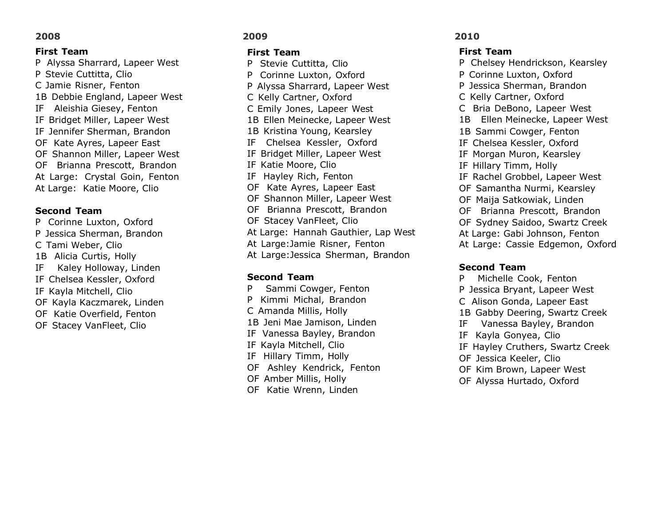### **First Team**

P Alyssa Sharrard, Lapeer West P Stevie Cuttitta, Clio C Jamie Risner, Fenton 1B Debbie England, Lapeer West IF Aleishia Giesey, Fenton IF Bridget Miller, Lapeer West IF Jennifer Sherman, Brandon OF Kate Ayres, Lapeer East OF Shannon Miller, Lapeer West OF Brianna Prescott, Brandon At Large: Crystal Goin, Fenton At Large: Katie Moore, Clio

#### **Second Team**

P Corinne Luxton, Oxford P Jessica Sherman, Brandon C Tami Weber, Clio 1B Alicia Curtis, Holly IF Kaley Holloway, Linden IF Chelsea Kessler, Oxford IF Kayla Mitchell, Clio OF Kayla Kaczmarek, Linden OF Katie Overfield, Fenton OF Stacey VanFleet, Clio

### **2009**

#### **First Team**

P Stevie Cuttitta, Clio P Corinne Luxton, Oxford P Alyssa Sharrard, Lapeer West C Kelly Cartner, Oxford C Emily Jones, Lapeer West 1B Ellen Meinecke, Lapeer West 1B Kristina Young, Kearsley IF Chelsea Kessler, Oxford IF Bridget Miller, Lapeer West IF Katie Moore, Clio IF Hayley Rich, Fenton OF Kate Ayres, Lapeer East OF Shannon Miller, Lapeer West OF Brianna Prescott, Brandon OF Stacey VanFleet, Clio At Large: Hannah Gauthier, Lap West At Large:Jamie Risner, Fenton At Large:Jessica Sherman, Brandon

#### **Second Team**

P Sammi Cowger, Fenton P Kimmi Michal, Brandon C Amanda Millis, Holly 1B Jeni Mae Jamison, Linden IF Vanessa Bayley, Brandon IF Kayla Mitchell, Clio IF Hillary Timm, Holly OF Ashley Kendrick, Fenton OF Amber Millis, Holly OF Katie Wrenn, Linden

#### **2010**

#### **First Team**

P Chelsey Hendrickson, Kearsley P Corinne Luxton, Oxford P Jessica Sherman, Brandon C Kelly Cartner, Oxford C Bria DeBono, Lapeer West 1B Ellen Meinecke, Lapeer West 1B Sammi Cowger, Fenton IF Chelsea Kessler, Oxford IF Morgan Muron, Kearsley IF Hillary Timm, Holly IF Rachel Grobbel, Lapeer West OF Samantha Nurmi, Kearsley OF Maija Satkowiak, Linden OF Brianna Prescott, Brandon OF Sydney Saidoo, Swartz Creek At Large: Gabi Johnson, Fenton At Large: Cassie Edgemon, Oxford

#### **Second Team**

P Michelle Cook, Fenton P Jessica Bryant, Lapeer West C Alison Gonda, Lapeer East 1B Gabby Deering, Swartz Creek IF Vanessa Bayley, Brandon IF Kayla Gonyea, Clio IF Hayley Cruthers, Swartz Creek OF Jessica Keeler, Clio OF Kim Brown, Lapeer West OF Alyssa Hurtado, Oxford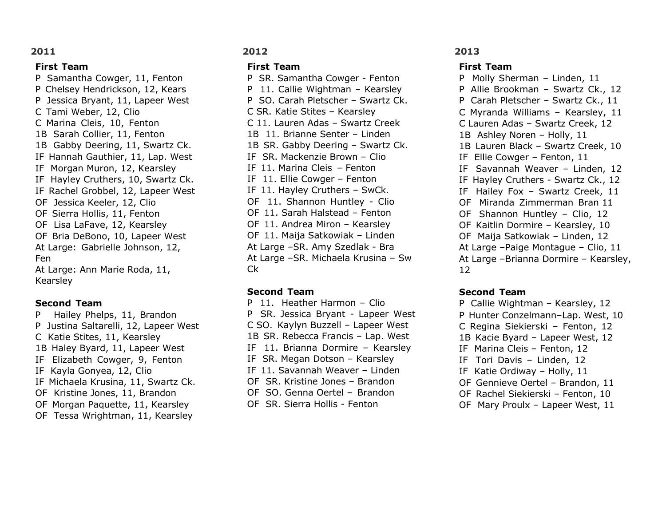#### **First Team**

P Samantha Cowger, 11, Fenton P Chelsey Hendrickson, 12, Kears P Jessica Bryant, 11, Lapeer West C Tami Weber, 12, Clio C Marina Cleis, 10, Fenton 1B Sarah Collier, 11, Fenton 1B Gabby Deering, 11, Swartz Ck. IF Hannah Gauthier, 11, Lap. West IF Morgan Muron, 12, Kearsley IF Hayley Cruthers, 10, Swartz Ck. IF Rachel Grobbel, 12, Lapeer West OF Jessica Keeler, 12, Clio OF Sierra Hollis, 11, Fenton OF Lisa LaFave, 12, Kearsley OF Bria DeBono, 10, Lapeer West At Large: Gabrielle Johnson, 12, Fen At Large: Ann Marie Roda, 11, Kearsley

### **Second Team**

P Hailey Phelps, 11, Brandon P Justina Saltarelli, 12, Lapeer West C Katie Stites, 11, Kearsley 1B Haley Byard, 11, Lapeer West IF Elizabeth Cowger, 9, Fenton IF Kayla Gonyea, 12, Clio IF Michaela Krusina, 11, Swartz Ck. OF Kristine Jones, 11, Brandon OF Morgan Paquette, 11, Kearsley OF Tessa Wrightman, 11, Kearsley

# **2012**

### **First Team**

P SR. Samantha Cowger - Fenton P 11. Callie Wightman – Kearsley P SO. Carah Pletscher – Swartz Ck. C SR. Katie Stites – Kearsley C 11. Lauren Adas – Swartz Creek 1B 11. Brianne Senter – Linden 1B SR. Gabby Deering – Swartz Ck. IF SR. Mackenzie Brown – Clio IF 11. Marina Cleis – Fenton IF 11. Ellie Cowger – Fenton IF 11. Hayley Cruthers – SwCk. OF 11. Shannon Huntley - Clio OF 11. Sarah Halstead – Fenton OF 11. Andrea Miron – Kearsley OF 11. Maija Satkowiak – Linden At Large –SR. Amy Szedlak - Bra At Large –SR. Michaela Krusina – Sw Ck

#### **Second Team**

- P 11. Heather Harmon Clio P SR. Jessica Bryant - Lapeer West C SO. Kaylyn Buzzell – Lapeer West 1B SR. Rebecca Francis – Lap. West IF 11. Brianna Dormire – Kearsley IF SR. Megan Dotson – Kearsley IF 11. Savannah Weaver – Linden OF SR. Kristine Jones – Brandon OF SO. Genna Oertel – Brandon
- OF SR. Sierra Hollis Fenton

### **2013**

#### **First Team**

P Molly Sherman – Linden, 11 P Allie Brookman – Swartz Ck., 12 P Carah Pletscher – Swartz Ck., 11 C Myranda Williams – Kearsley, 11 C Lauren Adas – Swartz Creek, 12 1B Ashley Noren – Holly, 11 1B Lauren Black – Swartz Creek, 10 IF Ellie Cowger – Fenton, 11 IF Savannah Weaver – Linden, 12 IF Hayley Cruthers - Swartz Ck., 12 IF Hailey Fox – Swartz Creek, 11 OF Miranda Zimmerman Bran 11 OF Shannon Huntley – Clio, 12 OF Kaitlin Dormire – Kearsley, 10 OF Maija Satkowiak – Linden, 12 At Large –Paige Montague – Clio, 11 At Large –Brianna Dormire – Kearsley, 12

# **Second Team**

P Callie Wightman – Kearsley, 12 P Hunter Conzelmann–Lap. West, 10 C Regina Siekierski – Fenton, 12 1B Kacie Byard – Lapeer West, 12 IF Marina Cleis – Fenton, 12 IF Tori Davis – Linden, 12 IF Katie Ordiway – Holly, 11 OF Gennieve Oertel – Brandon, 11 OF Rachel Siekierski – Fenton, 10 OF Mary Proulx – Lapeer West, 11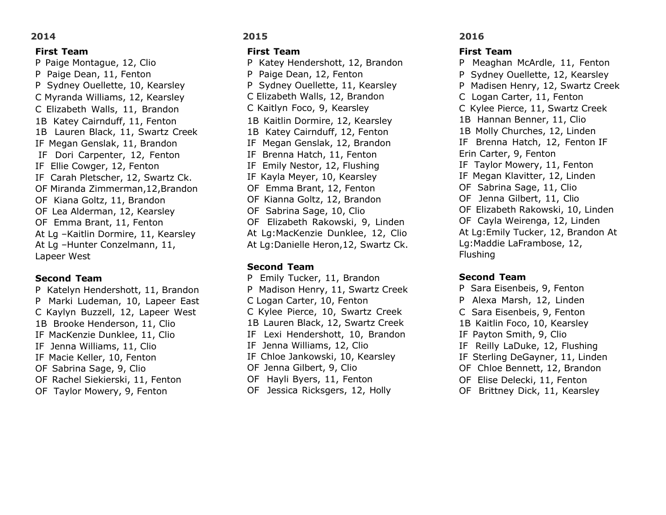#### **First Team**

P Paige Montague, 12, Clio P Paige Dean, 11, Fenton P Sydney Ouellette, 10, Kearsley C Myranda Williams, 12, Kearsley C Elizabeth Walls, 11, Brandon 1B Katey Cairnduff, 11, Fenton 1B Lauren Black, 11, Swartz Creek IF Megan Genslak, 11, Brandon IF Dori Carpenter, 12, Fenton IF Ellie Cowger, 12, Fenton IF Carah Pletscher, 12, Swartz Ck. OF Miranda Zimmerman,12,Brandon OF Kiana Goltz, 11, Brandon OF Lea Alderman, 12, Kearsley OF Emma Brant, 11, Fenton At Lg –Kaitlin Dormire, 11, Kearsley At Lg –Hunter Conzelmann, 11, Lapeer West

#### **Second Team**

P Katelyn Hendershott, 11, Brandon P Marki Ludeman, 10, Lapeer East C Kaylyn Buzzell, 12, Lapeer West 1B Brooke Henderson, 11, Clio IF MacKenzie Dunklee, 11, Clio IF Jenna Williams, 11, Clio IF Macie Keller, 10, Fenton OF Sabrina Sage, 9, Clio OF Rachel Siekierski, 11, Fenton OF Taylor Mowery, 9, Fenton

### **2015**

#### **First Team**

P Katey Hendershott, 12, Brandon P Paige Dean, 12, Fenton P Sydney Ouellette, 11, Kearsley C Elizabeth Walls, 12, Brandon C Kaitlyn Foco, 9, Kearsley 1B Kaitlin Dormire, 12, Kearsley 1B Katey Cairnduff, 12, Fenton IF Megan Genslak, 12, Brandon IF Brenna Hatch, 11, Fenton IF Emily Nestor, 12, Flushing IF Kayla Meyer, 10, Kearsley OF Emma Brant, 12, Fenton OF Kianna Goltz, 12, Brandon OF Sabrina Sage, 10, Clio OF Elizabeth Rakowski, 9, Linden At Lg:MacKenzie Dunklee, 12, Clio At Lg:Danielle Heron,12, Swartz Ck.

#### **Second Team**

P Emily Tucker, 11, Brandon P Madison Henry, 11, Swartz Creek C Logan Carter, 10, Fenton C Kylee Pierce, 10, Swartz Creek 1B Lauren Black, 12, Swartz Creek IF Lexi Hendershott, 10, Brandon IF Jenna Williams, 12, Clio IF Chloe Jankowski, 10, Kearsley OF Jenna Gilbert, 9, Clio OF Hayli Byers, 11, Fenton OF Jessica Ricksgers, 12, Holly

#### **2016**

#### **First Team**

P Meaghan McArdle, 11, Fenton P Sydney Ouellette, 12, Kearsley P Madisen Henry, 12, Swartz Creek C Logan Carter, 11, Fenton C Kylee Pierce, 11, Swartz Creek 1B Hannan Benner, 11, Clio 1B Molly Churches, 12, Linden IF Brenna Hatch, 12, Fenton IF Erin Carter, 9, Fenton IF Taylor Mowery, 11, Fenton IF Megan Klavitter, 12, Linden OF Sabrina Sage, 11, Clio OF Jenna Gilbert, 11, Clio OF Elizabeth Rakowski, 10, Linden OF Cayla Weirenga, 12, Linden At Lg:Emily Tucker, 12, Brandon At Lg:Maddie LaFrambose, 12, Flushing

#### **Second Team**

P Sara Eisenbeis, 9, Fenton P Alexa Marsh, 12, Linden C Sara Eisenbeis, 9, Fenton 1B Kaitlin Foco, 10, Kearsley IF Payton Smith, 9, Clio IF Reilly LaDuke, 12, Flushing IF Sterling DeGayner, 11, Linden OF Chloe Bennett, 12, Brandon OF Elise Delecki, 11, Fenton OF Brittney Dick, 11, Kearsley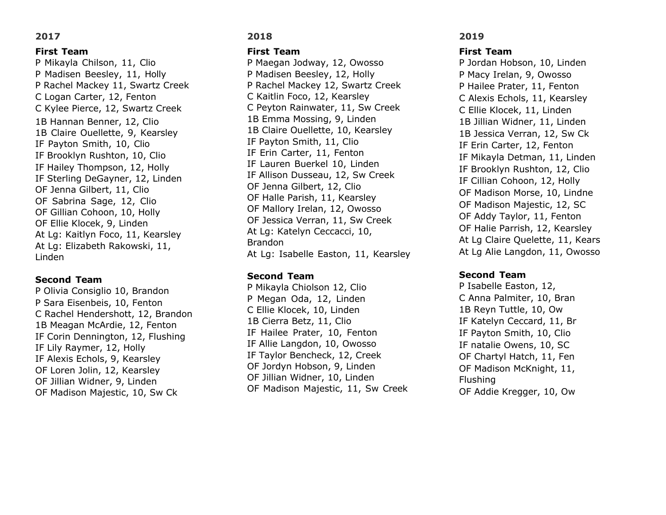#### **First Team**

P Mikayla Chilson, 11, Clio P Madisen Beesley, 11, Holly P Rachel Mackey 11, Swartz Creek C Logan Carter, 12, Fenton C Kylee Pierce, 12, Swartz Creek 1B Hannan Benner, 12, Clio 1B Claire Ouellette, 9, Kearsley IF Payton Smith, 10, Clio IF Brooklyn Rushton, 10, Clio IF Hailey Thompson, 12, Holly IF Sterling DeGayner, 12, Linden OF Jenna Gilbert, 11, Clio OF Sabrina Sage, 12, Clio OF Gillian Cohoon, 10, Holly OF Ellie Klocek, 9, Linden At Lg: Kaitlyn Foco, 11, Kearsley At Lg: Elizabeth Rakowski, 11, Linden

#### **Second Team**

P Olivia Consiglio 10, Brandon P Sara Eisenbeis, 10, Fenton C Rachel Hendershott, 12, Brandon 1B Meagan McArdie, 12, Fenton IF Corin Dennington, 12, Flushing IF Lily Raymer, 12, Holly IF Alexis Echols, 9, Kearsley OF Loren Jolin, 12, Kearsley OF Jillian Widner, 9, Linden OF Madison Majestic, 10, Sw Ck

# **2018**

#### **First Team**

P Maegan Jodway, 12, Owosso P Madisen Beesley, 12, Holly P Rachel Mackey 12, Swartz Creek C Kaitlin Foco, 12, Kearsley C Peyton Rainwater, 11, Sw Creek 1B Emma Mossing, 9, Linden 1B Claire Ouellette, 10, Kearsley IF Payton Smith, 11, Clio IF Erin Carter, 11, Fenton IF Lauren Buerkel 10, Linden IF Allison Dusseau, 12, Sw Creek OF Jenna Gilbert, 12, Clio OF Halle Parish, 11, Kearsley OF Mallory Irelan, 12, Owosso OF Jessica Verran, 11, Sw Creek At Lg: Katelyn Ceccacci, 10, Brandon At Lg: Isabelle Easton, 11, Kearsley

### **Second Team**

P Mikayla Chiolson 12, Clio P Megan Oda, 12, Linden C Ellie Klocek, 10, Linden 1B Cierra Betz, 11, Clio IF Hailee Prater, 10, Fenton IF Allie Langdon, 10, Owosso IF Taylor Bencheck, 12, Creek OF Jordyn Hobson, 9, Linden OF Jillian Widner, 10, Linden OF Madison Majestic, 11, Sw Creek

# **2019**

#### **First Team**

P Jordan Hobson, 10, Linden P Macy Irelan, 9, Owosso P Hailee Prater, 11, Fenton C Alexis Echols, 11, Kearsley C Ellie Klocek, 11, Linden 1B Jillian Widner, 11, Linden 1B Jessica Verran, 12, Sw Ck IF Erin Carter, 12, Fenton IF Mikayla Detman, 11, Linden IF Brooklyn Rushton, 12, Clio IF Cillian Cohoon, 12, Holly OF Madison Morse, 10, Lindne OF Madison Majestic, 12, SC OF Addy Taylor, 11, Fenton OF Halie Parrish, 12, Kearsley At Lg Claire Quelette, 11, Kears At Lg Alie Langdon, 11, Owosso

### **Second Team**

P Isabelle Easton, 12, C Anna Palmiter, 10, Bran 1B Reyn Tuttle, 10, Ow IF Katelyn Ceccard, 11, Br IF Payton Smith, 10, Clio IF natalie Owens, 10, SC OF Chartyl Hatch, 11, Fen OF Madison McKnight, 11, Flushing OF Addie Kregger, 10, Ow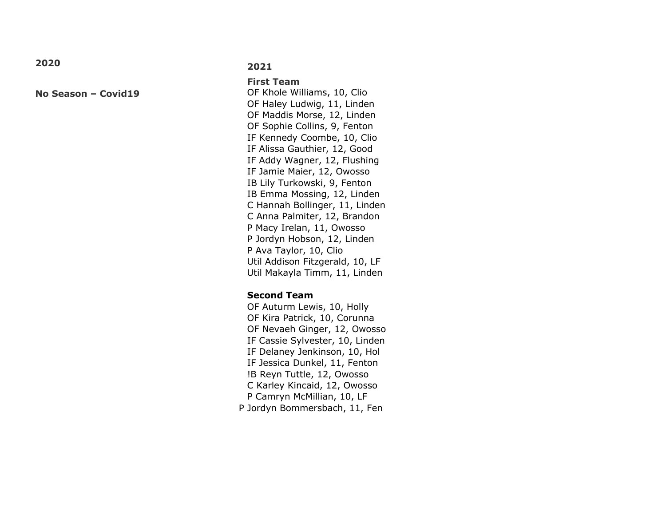**No Season – Covid19**

#### **2021**

**First Team** OF Khole Williams, 10, Clio OF Haley Ludwig, 11, Linden OF Maddis Morse, 12, Linden OF Sophie Collins, 9, Fenton IF Kennedy Coombe, 10, Clio IF Alissa Gauthier, 12, Good IF Addy Wagner, 12, Flushing IF Jamie Maier, 12, Owosso IB Lily Turkowski, 9, Fenton IB Emma Mossing, 12, Linden C Hannah Bollinger, 11, Linden C Anna Palmiter, 12, Brandon P Macy Irelan, 11, Owosso P Jordyn Hobson, 12, Linden P Ava Taylor, 10, Clio Util Addison Fitzgerald, 10, LF Util Makayla Timm, 11, Linden

### **Second Team**

OF Auturm Lewis, 10, Holly OF Kira Patrick, 10, Corunna OF Nevaeh Ginger, 12, Owosso IF Cassie Sylvester, 10, Linden IF Delaney Jenkinson, 10, Hol IF Jessica Dunkel, 11, Fenton !B Reyn Tuttle, 12, Owosso C Karley Kincaid, 12, Owosso P Camryn McMillian, 10, LF P Jordyn Bommersbach, 11, Fen